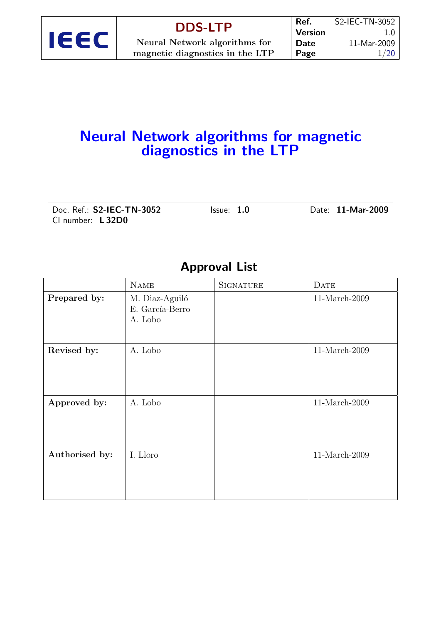

# Neural Network algorithms for magnetic diagnostics in the LTP

| Doc. Ref.: S2-IEC-TN-3052 | $\ssue: 1.0$ | Date: 11-Mar-2009 |
|---------------------------|--------------|-------------------|
| CI number: L32D0          |              |                   |

## <span id="page-0-0"></span>Approval List

|                | <b>NAME</b>                                  | <b>SIGNATURE</b> | <b>DATE</b>   |
|----------------|----------------------------------------------|------------------|---------------|
| Prepared by:   | M. Diaz-Aguiló<br>E. García-Berro<br>A. Lobo |                  | 11-March-2009 |
| Revised by:    | A. Lobo                                      |                  | 11-March-2009 |
| Approved by:   | A. Lobo                                      |                  | 11-March-2009 |
| Authorised by: | I. Lloro                                     |                  | 11-March-2009 |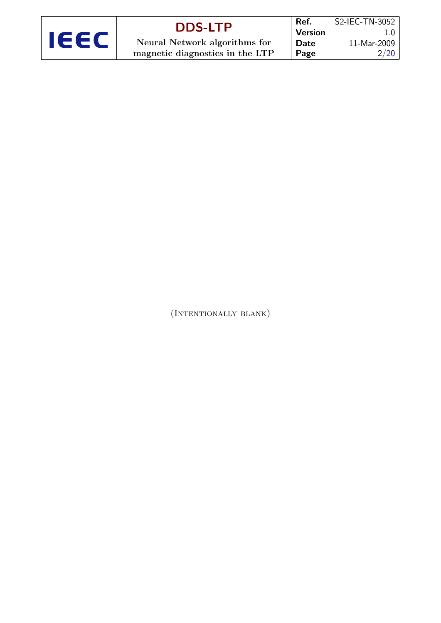

# Neural Network algorithms for magnetic diagnostics in the LTP

DDS-LTP Ref. S2-IEC-TN-3052 **Version Date** 11-Mar-2009<br>**Page** 2/20 Page

(Intentionally blank)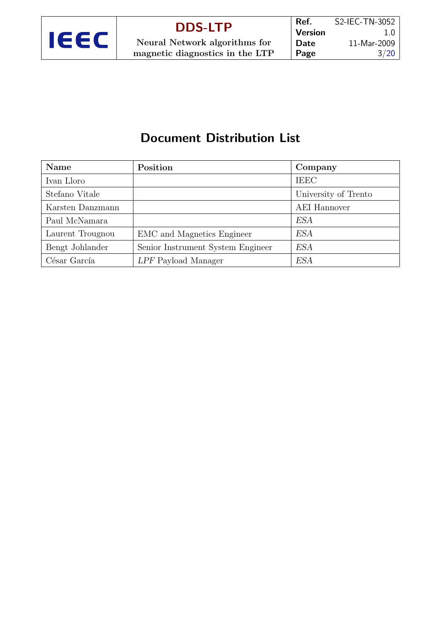<span id="page-2-0"></span>

## Document Distribution List

| <b>Name</b>      | Position                          | Company              |
|------------------|-----------------------------------|----------------------|
| Ivan Lloro       |                                   | <b>IEEC</b>          |
| Stefano Vitale   |                                   | University of Trento |
| Karsten Danzmann |                                   | <b>AEI</b> Hannover  |
| Paul McNamara    |                                   | <b>ESA</b>           |
| Laurent Trougnou | EMC and Magnetics Engineer        | <b>ESA</b>           |
| Bengt Johlander  | Senior Instrument System Engineer | <b>ESA</b>           |
| César García     | LPF Payload Manager               | <b>ESA</b>           |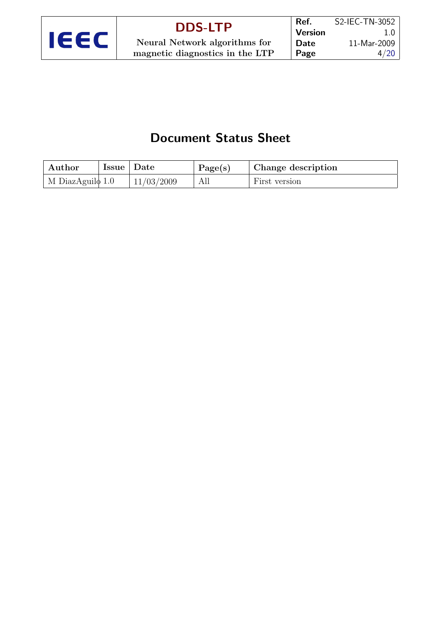

## Document Status Sheet

| Author                 | <b>Issue</b> Date |            | Page(s) | Change description |
|------------------------|-------------------|------------|---------|--------------------|
| M DiazAguil $\phi$ 1.0 |                   | 11/03/2009 | All     | First version      |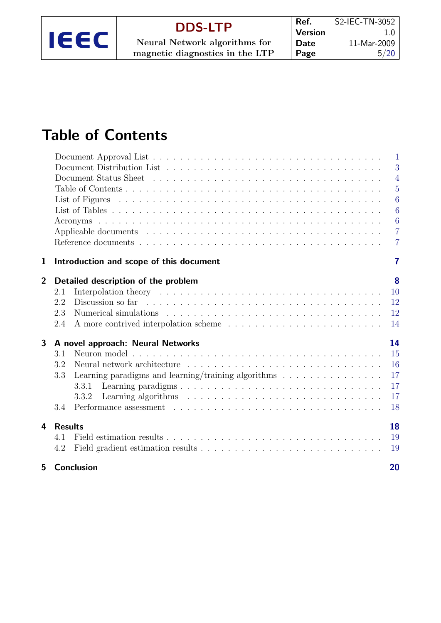

# Table of Contents

<span id="page-4-0"></span>

|   |                                                                                                                                                                                                                                                                                                   | $\mathbf{1}$<br>3<br>$\overline{4}$<br>$\overline{5}$<br>$\overline{6}$<br>6<br>6<br>$\overline{7}$ |
|---|---------------------------------------------------------------------------------------------------------------------------------------------------------------------------------------------------------------------------------------------------------------------------------------------------|-----------------------------------------------------------------------------------------------------|
|   |                                                                                                                                                                                                                                                                                                   | $\overline{7}$                                                                                      |
| 1 | Introduction and scope of this document                                                                                                                                                                                                                                                           | $\overline{7}$                                                                                      |
| 2 | Detailed description of the problem<br>2.1<br>2.2<br>2.3<br>Numerical simulations experience in the content of the content of the content of the content of the content of the content of the content of the content of the content of the content of the content of the content of the co<br>2.4 | 8<br>10<br>12<br>12<br>14                                                                           |
| 3 | A novel approach: Neural Networks<br>3.1<br>3.2<br>Learning paradigms and learning/training algorithms $\ldots \ldots \ldots \ldots \ldots$<br>3.3<br>3.3.1<br>3.3.2<br>3.4                                                                                                                       | 14<br>15<br>16<br>17<br>17<br>17<br>18                                                              |
| 4 | <b>Results</b><br>4.1<br>4.2                                                                                                                                                                                                                                                                      | 18<br>19<br>19                                                                                      |
| 5 | Conclusion                                                                                                                                                                                                                                                                                        | 20                                                                                                  |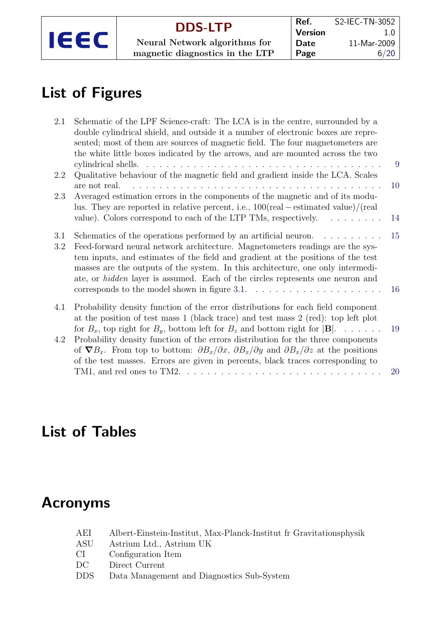

# List of Figures

<span id="page-5-0"></span>

| 2.1        | Schematic of the LPF Science-craft: The LCA is in the centre, surrounded by a<br>double cylindrical shield, and outside it a number of electronic boxes are repre-<br>sented; most of them are sources of magnetic field. The four magnetometers are<br>the white little boxes indicated by the arrows, and are mounted across the two                                                                                                                                                                                            | 9               |
|------------|-----------------------------------------------------------------------------------------------------------------------------------------------------------------------------------------------------------------------------------------------------------------------------------------------------------------------------------------------------------------------------------------------------------------------------------------------------------------------------------------------------------------------------------|-----------------|
| 2.2        | Qualitative behaviour of the magnetic field and gradient inside the LCA. Scales<br>are not real.<br>المتعاقب والمتعاقب والمتعاقب والمتعاقب والمتعاقب والمتعاقب والمتعاقب والمتعاقب والمتعاقب والمتعاقبات                                                                                                                                                                                                                                                                                                                          | 10              |
| 2.3        | Averaged estimation errors in the components of the magnetic and of its modu-<br>lus. They are reported in relative percent, i.e., $100(\text{real}-\text{estimated value})/(\text{real}$                                                                                                                                                                                                                                                                                                                                         |                 |
|            | value). Colors correspond to each of the LTP TMs, respectively. $\dots \dots$                                                                                                                                                                                                                                                                                                                                                                                                                                                     | 14              |
| 3.1<br>3.2 | Schematics of the operations performed by an artificial neuron. $\dots \dots \dots$<br>Feed-forward neural network architecture. Magnetometers readings are the sys-<br>tem inputs, and estimates of the field and gradient at the positions of the test<br>masses are the outputs of the system. In this architecture, one only intermedi-<br>ate, or <i>hidden</i> layer is assumed. Each of the circles represents one neuron and<br>corresponds to the model shown in figure $3.1. \ldots \ldots \ldots \ldots \ldots \ldots$ | 15<br><b>16</b> |
| 4.1<br>4.2 | Probability density function of the error distributions for each field component<br>at the position of test mass 1 (black trace) and test mass 2 (red): top left plot<br>for $B_x$ , top right for $B_y$ , bottom left for $B_z$ and bottom right for $ \mathbf{B} $<br>Probability density function of the errors distribution for the three components                                                                                                                                                                          | 19              |
|            | of $\nabla B_x$ . From top to bottom: $\partial B_x/\partial x$ , $\partial B_x/\partial y$ and $\partial B_x/\partial z$ at the positions<br>of the test masses. Errors are given in percents, black traces corresponding to<br>TM1, and red ones to TM2. $\dots \dots \dots \dots \dots \dots \dots \dots \dots \dots \dots \dots \dots$                                                                                                                                                                                        | 20              |

# <span id="page-5-1"></span>List of Tables

# <span id="page-5-2"></span>Acronyms

- AEI Albert-Einstein-Institut, Max-Planck-Institut fr Gravitationsphysik
- ASU Astrium Ltd., Astrium UK
- CI Configuration Item
- DC Direct Current
- DDS Data Management and Diagnostics Sub-System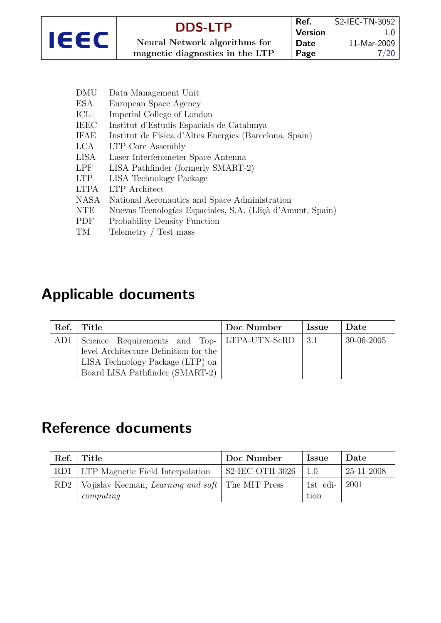

- DMU Data Management Unit
- ESA European Space Agency
- ICL Imperial College of London
- IEEC Institut d'Estudis Espacials de Catalunya
- IFAE Institut de Física d'Altes Energies (Barcelona, Spain)
- LCA LTP Core Assembly
- LISA Laser Interferometer Space Antenna
- LPF LISA Pathfinder (formerly SMART-2)
- LTP LISA Technology Package
- LTPA LTP Architect
- NASA National Aeronautics and Space Administration
- NTE Nuevas Tecnologías Espaciales, S.A. (Lliçà d'Amunt, Spain)
- PDF Probability Density Function
- TM Telemetry / Test mass

# Applicable documents

<span id="page-6-3"></span><span id="page-6-0"></span>

| $\operatorname{Ref.}$ | Title                                         | Doc Number | Issue | Date       |
|-----------------------|-----------------------------------------------|------------|-------|------------|
| AD1                   | Science Requirements and Top-   LTPA-UTN-ScRD |            | -3.1  | 30-06-2005 |
|                       | level Architecture Definition for the         |            |       |            |
|                       | LISA Technology Package (LTP) on              |            |       |            |
|                       | Board LISA Pathfinder (SMART-2)               |            |       |            |

# Reference documents

<span id="page-6-2"></span><span id="page-6-1"></span>

|     | $\operatorname{Ref.} \mid \text{Title}$                       | Doc Number      | Issue            | Date       |
|-----|---------------------------------------------------------------|-----------------|------------------|------------|
|     | RD1   LTP Magnetic Field Interpolation                        | S2-IEC-OTH-3026 | 1.0              | 25-11-2008 |
| RD2 | Vojislav Kecman, Learning and soft The MIT Press<br>computing |                 | 1st edi-<br>tion | 2001       |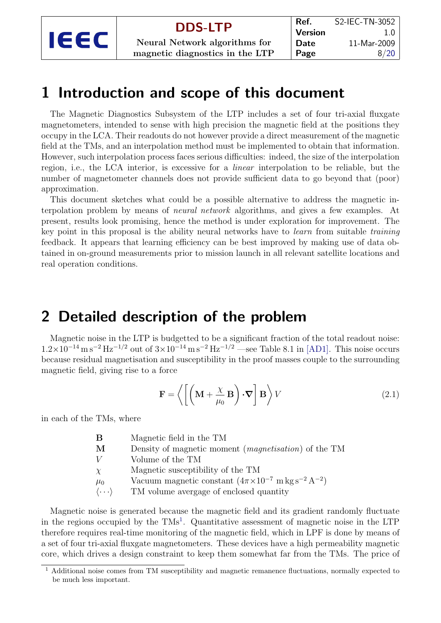## 1 Introduction and scope of this document

The Magnetic Diagnostics Subsystem of the LTP includes a set of four tri-axial fluxgate magnetometers, intended to sense with high precision the magnetic field at the positions they occupy in the LCA. Their readouts do not however provide a direct measurement of the magnetic field at the TMs, and an interpolation method must be implemented to obtain that information. However, such interpolation process faces serious difficulties: indeed, the size of the interpolation region, i.e., the LCA interior, is excessive for a linear interpolation to be reliable, but the number of magnetometer channels does not provide sufficient data to go beyond that (poor) approximation.

This document sketches what could be a possible alternative to address the magnetic interpolation problem by means of neural network algorithms, and gives a few examples. At present, results look promising, hence the method is under exploration for improvement. The key point in this proposal is the ability neural networks have to learn from suitable training feedback. It appears that learning efficiency can be best improved by making use of data obtained in on-ground measurements prior to mission launch in all relevant satellite locations and real operation conditions.

## <span id="page-7-0"></span>2 Detailed description of the problem

Magnetic noise in the LTP is budgetted to be a significant fraction of the total readout noise:  $1.2\times10^{-14}$  m s<sup>-2</sup> Hz<sup>-1/2</sup> out of  $3\times10^{-14}$  m s<sup>-2</sup> Hz<sup>-1/2</sup> —see Table 8.1 in [\[AD1\].](#page-6-3) This noise occurs because residual magnetisation and susceptibility in the proof masses couple to the surrounding magnetic field, giving rise to a force

$$
\mathbf{F} = \left\langle \left[ \left( \mathbf{M} + \frac{\chi}{\mu_0} \mathbf{B} \right) \cdot \nabla \right] \mathbf{B} \right\rangle V \tag{2.1}
$$

in each of the TMs, where

| $\, {\bf B}$             | Magnetic field in the TM                                                           |
|--------------------------|------------------------------------------------------------------------------------|
| м                        | Density of magnetic moment ( <i>magnetisation</i> ) of the TM                      |
| V                        | Volume of the TM                                                                   |
| $\chi_{\parallel}$       | Magnetic susceptibility of the TM                                                  |
| $\mu_0$                  | Vacuum magnetic constant $(4\pi \times 10^{-7} \text{ m kg s}^{-2} \text{A}^{-2})$ |
| $\langle \cdots \rangle$ | TM volume avergage of enclosed quantity                                            |
|                          |                                                                                    |

Magnetic noise is generated because the magnetic field and its gradient randomly fluctuate in the regions occupied by the TMs<sup>[1](#page-7-1)</sup>. Quantitative assessment of magnetic noise in the LTP therefore requires real-time monitoring of the magnetic field, which in LPF is done by means of a set of four tri-axial fluxgate magnetometers. These devices have a high permeability magnetic core, which drives a design constraint to keep them somewhat far from the TMs. The price of

<span id="page-7-1"></span><sup>&</sup>lt;sup>1</sup> Additional noise comes from TM susceptibility and magnetic remanence fluctuations, normally expected to be much less important.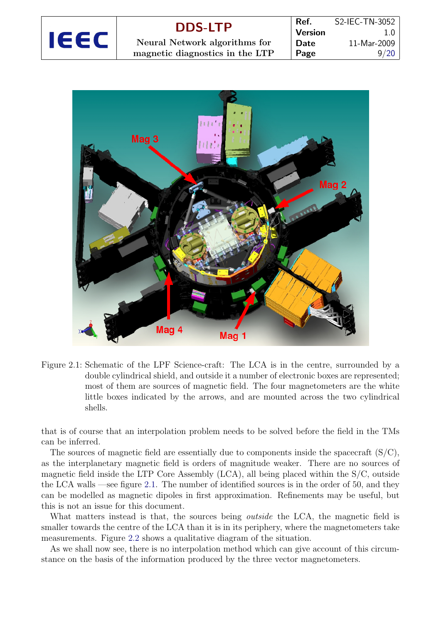

# Neural Network algorithms for

magnetic diagnostics in the LTP

 $\overline{\text{DDS-LTP}}$  Ref. S2-IEC-TN-3052 **Version** Date 11-Mar-2009 Page  $9/20$  $9/20$ 



<span id="page-8-0"></span>Figure 2.1: Schematic of the LPF Science-craft: The LCA is in the centre, surrounded by a double cylindrical shield, and outside it a number of electronic boxes are represented; most of them are sources of magnetic field. The four magnetometers are the white little boxes indicated by the arrows, and are mounted across the two cylindrical shells.

that is of course that an interpolation problem needs to be solved before the field in the TMs can be inferred.

The sources of magnetic field are essentially due to components inside the spacecraft  $(S/C)$ , as the interplanetary magnetic field is orders of magnitude weaker. There are no sources of magnetic field inside the LTP Core Assembly (LCA), all being placed within the S/C, outside the LCA walls —see figure [2.1.](#page-8-0) The number of identified sources is in the order of 50, and they can be modelled as magnetic dipoles in first approximation. Refinements may be useful, but this is not an issue for this document.

What matters instead is that, the sources being *outside* the LCA, the magnetic field is smaller towards the centre of the LCA than it is in its periphery, where the magnetometers take measurements. Figure [2.2](#page-9-1) shows a qualitative diagram of the situation.

As we shall now see, there is no interpolation method which can give account of this circumstance on the basis of the information produced by the three vector magnetometers.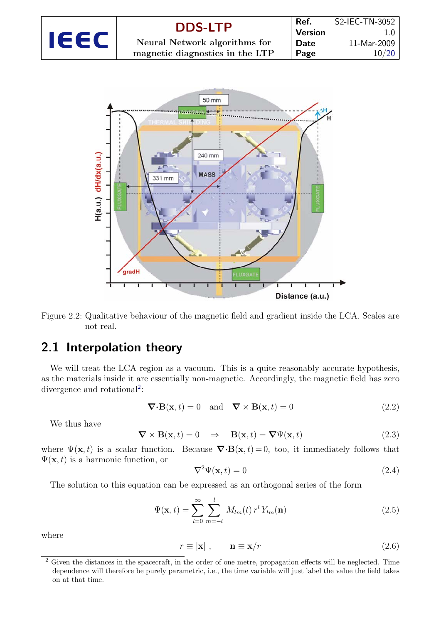



<span id="page-9-1"></span>Figure 2.2: Qualitative behaviour of the magnetic field and gradient inside the LCA. Scales are not real.

#### <span id="page-9-0"></span>2.1 Interpolation theory

We will treat the LCA region as a vacuum. This is a quite reasonably accurate hypothesis, as the materials inside it are essentially non-magnetic. Accordingly, the magnetic field has zero divergence and rotational<sup>[2](#page-9-2)</sup>:

<span id="page-9-5"></span>
$$
\nabla \cdot \mathbf{B}(\mathbf{x}, t) = 0 \quad \text{and} \quad \nabla \times \mathbf{B}(\mathbf{x}, t) = 0 \tag{2.2}
$$

We thus have

<span id="page-9-4"></span>
$$
\nabla \times \mathbf{B}(\mathbf{x}, t) = 0 \Rightarrow \mathbf{B}(\mathbf{x}, t) = \nabla \Psi(\mathbf{x}, t)
$$
 (2.3)

where  $\Psi(\mathbf{x},t)$  is a scalar function. Because  $\nabla \cdot \mathbf{B}(\mathbf{x},t) = 0$ , too, it immediately follows that  $\Psi(\mathbf{x}, t)$  is a harmonic function, or

$$
\nabla^2 \Psi(\mathbf{x}, t) = 0 \tag{2.4}
$$

The solution to this equation can be expressed as an orthogonal series of the form

<span id="page-9-3"></span>
$$
\Psi(\mathbf{x},t) = \sum_{l=0}^{\infty} \sum_{m=-l}^{l} M_{lm}(t) r^l Y_{lm}(\mathbf{n})
$$
\n(2.5)

where

$$
r \equiv |\mathbf{x}| \,, \qquad \mathbf{n} \equiv \mathbf{x}/r \tag{2.6}
$$

<span id="page-9-2"></span><sup>&</sup>lt;sup>2</sup> Given the distances in the spacecraft, in the order of one metre, propagation effects will be neglected. Time dependence will therefore be purely parametric, i.e., the time variable will just label the value the field takes on at that time.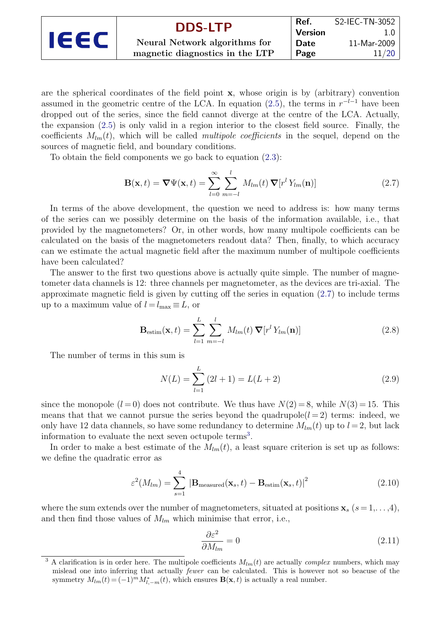|             | <b>DDS-LTP</b>                  | Ref.           | S2-IEC-TN-3052 |
|-------------|---------------------------------|----------------|----------------|
|             |                                 | <b>Version</b> | 1 N I          |
| <b>IEEC</b> | Neural Network algorithms for   | <b>Date</b>    | 11-Mar-2009    |
|             | magnetic diagnostics in the LTP | Page           | 11/20          |

are the spherical coordinates of the field point x, whose origin is by (arbitrary) convention assumed in the geometric centre of the LCA. In equation  $(2.5)$ , the terms in  $r^{-l-1}$  have been dropped out of the series, since the field cannot diverge at the centre of the LCA. Actually, the expansion [\(2.5\)](#page-9-3) is only valid in a region interior to the closest field source. Finally, the coefficients  $M_{lm}(t)$ , which will be called *multipole coefficients* in the sequel, depend on the sources of magnetic field, and boundary conditions.

To obtain the field components we go back to equation [\(2.3\)](#page-9-4):

<span id="page-10-0"></span>
$$
\mathbf{B}(\mathbf{x},t) = \nabla \Psi(\mathbf{x},t) = \sum_{l=0}^{\infty} \sum_{m=-l}^{l} M_{lm}(t) \, \nabla [r^l Y_{lm}(\mathbf{n})] \tag{2.7}
$$

In terms of the above development, the question we need to address is: how many terms of the series can we possibly determine on the basis of the information available, i.e., that provided by the magnetometers? Or, in other words, how many multipole coefficients can be calculated on the basis of the magnetometers readout data? Then, finally, to which accuracy can we estimate the actual magnetic field after the maximum number of multipole coefficients have been calculated?

The answer to the first two questions above is actually quite simple. The number of magnetometer data channels is 12: three channels per magnetometer, as the devices are tri-axial. The approximate magnetic field is given by cutting off the series in equation [\(2.7\)](#page-10-0) to include terms up to a maximum value of  $l = l_{\text{max}} \equiv L$ , or

<span id="page-10-2"></span>
$$
\mathbf{B}_{\text{estim}}(\mathbf{x},t) = \sum_{l=1}^{L} \sum_{m=-l}^{l} M_{lm}(t) \, \mathbf{\nabla} [r^l Y_{lm}(\mathbf{n})] \tag{2.8}
$$

The number of terms in this sum is

$$
N(L) = \sum_{l=1}^{L} (2l+1) = L(L+2)
$$
\n(2.9)

since the monopole  $(l = 0)$  does not contribute. We thus have  $N(2) = 8$ , while  $N(3) = 15$ . This means that that we cannot pursue the series beyond the quadrupole  $(l = 2)$  terms: indeed, we only have 12 data channels, so have some redundancy to determine  $M_{lm}(t)$  up to  $l = 2$ , but lack information to evaluate the next seven octupole terms<sup>[3](#page-10-1)</sup>.

In order to make a best estimate of the  $M_{lm}(t)$ , a least square criterion is set up as follows: we define the quadratic error as

$$
\varepsilon^2(M_{lm}) = \sum_{s=1}^4 |\mathbf{B}_{\text{measured}}(\mathbf{x}_s, t) - \mathbf{B}_{\text{estim}}(\mathbf{x}_s, t)|^2
$$
 (2.10)

where the sum extends over the number of magnetometers, situated at positions  $x_s$  ( $s = 1, \ldots, 4$ ), and then find those values of  $M_{lm}$  which minimise that error, i.e.,

$$
\frac{\partial \varepsilon^2}{\partial M_{lm}} = 0 \tag{2.11}
$$

<span id="page-10-1"></span><sup>&</sup>lt;sup>3</sup> A clarification is in order here. The multipole coefficients  $M_{lm}(t)$  are actually *complex* numbers, which may mislead one into inferring that actually fewer can be calculated. This is however not so beacuse of the symmetry  $M_{lm}(t) = (-1)^m M_{l,-m}^*(t)$ , which ensures  $\mathbf{B}(\mathbf{x},t)$  is actually a real number.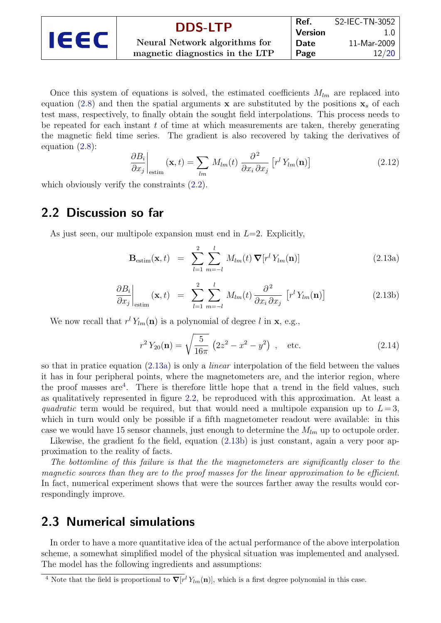|             | <b>DDS-LTP</b>                  | Ref.           | S <sub>2</sub> -IEC-TN-3052 |
|-------------|---------------------------------|----------------|-----------------------------|
|             |                                 | <b>Version</b> |                             |
| <b>IEEC</b> | Neural Network algorithms for   | <b>Date</b>    | 11-Mar-2009                 |
|             | magnetic diagnostics in the LTP | Page           | 12/20                       |

Once this system of equations is solved, the estimated coefficients  $M_{lm}$  are replaced into equation [\(2.8\)](#page-10-2) and then the spatial arguments **x** are substituted by the positions  $\mathbf{x}_s$  of each test mass, respectively, to finally obtain the sought field interpolations. This process needs to be repeated for each instant  $t$  of time at which measurements are taken, thereby generating the magnetic field time series. The gradient is also recovered by taking the derivatives of equation [\(2.8\)](#page-10-2):

$$
\left. \frac{\partial B_i}{\partial x_j} \right|_{\text{estim}} (\mathbf{x}, t) = \sum_{lm} M_{lm}(t) \frac{\partial^2}{\partial x_i \partial x_j} \left[ r^l Y_{lm}(\mathbf{n}) \right] \tag{2.12}
$$

which obviously verify the constraints  $(2.2)$ .

#### <span id="page-11-0"></span>2.2 Discussion so far

As just seen, our multipole expansion must end in  $L=2$ . Explicitly,

$$
\mathbf{B}_{\text{estim}}(\mathbf{x},t) = \sum_{l=1}^{2} \sum_{m=-l}^{l} M_{lm}(t) \, \mathbf{\nabla} [r^l Y_{lm}(\mathbf{n})] \tag{2.13a}
$$

$$
\left. \frac{\partial B_i}{\partial x_j} \right|_{\text{estim}} (\mathbf{x}, t) = \sum_{l=1}^2 \sum_{m=-l}^l M_{lm}(t) \frac{\partial^2}{\partial x_i \partial x_j} \left[ r^l Y_{lm}(\mathbf{n}) \right]
$$
(2.13b)

We now recall that  $r^l Y_{lm}(\mathbf{n})$  is a polynomial of degree l in **x**, e.g.,

$$
r^{2} Y_{20}(\mathbf{n}) = \sqrt{\frac{5}{16\pi}} \left( 2z^{2} - x^{2} - y^{2} \right) , \text{ etc.}
$$
 (2.14)

so that in pratice equation (2.[13a\)](#page-11-0) is only a linear interpolation of the field between the values it has in four peripheral points, where the magnetometers are, and the interior region, where the proof masses are<sup>[4](#page-11-2)</sup>. There is therefore little hope that a trend in the field values, such as qualitatively represented in figure [2.2,](#page-9-1) be reproduced with this approximation. At least a quadratic term would be required, but that would need a multipole expansion up to  $L = 3$ , which in turn would only be possible if a fifth magnetometer readout were available: in this case we would have 15 sensor channels, just enough to determine the  $M_{lm}$  up to octupole order.

Likewise, the gradient fo the field, equation  $(2.13b)$  $(2.13b)$  is just constant, again a very poor approximation to the reality of facts.

The bottomline of this failure is that the the magnetometers are significantly closer to the magnetic sources than they are to the proof masses for the linear approximation to be efficient. In fact, numerical experiment shows that were the sources farther away the results would correspondingly improve.

#### <span id="page-11-1"></span>2.3 Numerical simulations

In order to have a more quantitative idea of the actual performance of the above interpolation scheme, a somewhat simplified model of the physical situation was implemented and analysed. The model has the following ingredients and assumptions:

<span id="page-11-2"></span><sup>&</sup>lt;sup>4</sup> Note that the field is proportional to  $\nabla[r^l Y_{lm}(\mathbf{n})]$ , which is a first degree polynomial in this case.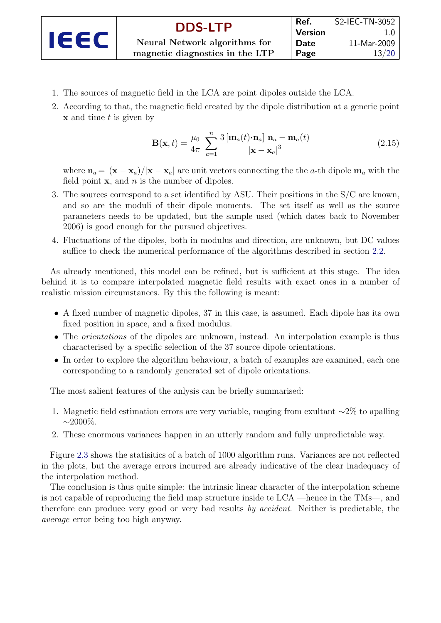

- 1. The sources of magnetic field in the LCA are point dipoles outside the LCA.
- 2. According to that, the magnetic field created by the dipole distribution at a generic point  $x$  and time t is given by

$$
\mathbf{B}(\mathbf{x},t) = \frac{\mu_0}{4\pi} \sum_{a=1}^{n} \frac{3\left[\mathbf{m}_a(t) \cdot \mathbf{n}_a\right] \mathbf{n}_a - \mathbf{m}_a(t)}{\left|\mathbf{x} - \mathbf{x}_a\right|^3}
$$
(2.15)

where  $\mathbf{n}_a = (\mathbf{x} - \mathbf{x}_a)/|\mathbf{x} - \mathbf{x}_a|$  are unit vectors connecting the the a-th dipole  $\mathbf{m}_a$  with the field point  $x$ , and  $n$  is the number of dipoles.

- 3. The sources correspond to a set identified by ASU. Their positions in the S/C are known, and so are the moduli of their dipole moments. The set itself as well as the source parameters needs to be updated, but the sample used (which dates back to November 2006) is good enough for the pursued objectives.
- <span id="page-12-0"></span>4. Fluctuations of the dipoles, both in modulus and direction, are unknown, but DC values suffice to check the numerical performance of the algorithms described in section [2.2.](#page-11-0)

As already mentioned, this model can be refined, but is sufficient at this stage. The idea behind it is to compare interpolated magnetic field results with exact ones in a number of realistic mission circumstances. By this the following is meant:

- A fixed number of magnetic dipoles, 37 in this case, is assumed. Each dipole has its own fixed position in space, and a fixed modulus.
- The *orientations* of the dipoles are unknown, instead. An interpolation example is thus characterised by a specific selection of the 37 source dipole orientations.
- In order to explore the algorithm behaviour, a batch of examples are examined, each one corresponding to a randomly generated set of dipole orientations.

The most salient features of the anlysis can be briefly summarised:

- 1. Magnetic field estimation errors are very variable, ranging from exultant ∼2% to apalling  $\sim$ 2000\%.
- 2. These enormous variances happen in an utterly random and fully unpredictable way.

Figure [2.3](#page-13-2) shows the statisitics of a batch of 1000 algorithm runs. Variances are not reflected in the plots, but the average errors incurred are already indicative of the clear inadequacy of the interpolation method.

The conclusion is thus quite simple: the intrinsic linear character of the interpolation scheme is not capable of reproducing the field map structure inside te LCA —hence in the TMs—, and therefore can produce very good or very bad results by accident. Neither is predictable, the average error being too high anyway.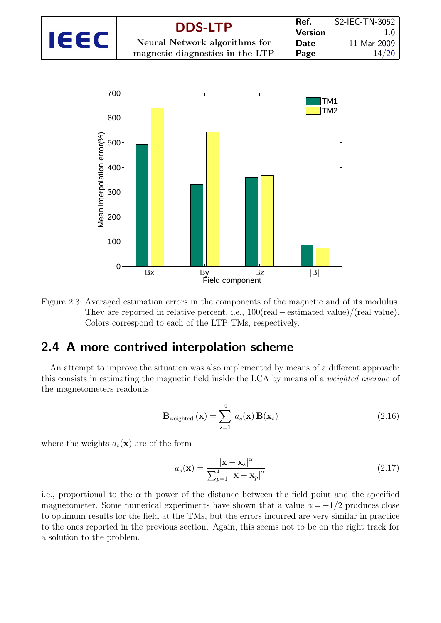



<span id="page-13-2"></span>Figure 2.3: Averaged estimation errors in the components of the magnetic and of its modulus. They are reported in relative percent, i.e., 100(real − estimated value)/(real value). Colors correspond to each of the LTP TMs, respectively.

#### <span id="page-13-0"></span>2.4 A more contrived interpolation scheme

An attempt to improve the situation was also implemented by means of a different approach: this consists in estimating the magnetic field inside the LCA by means of a weighted average of the magnetometers readouts:

$$
\mathbf{B}_{\text{weighted}}\left(\mathbf{x}\right) = \sum_{s=1}^{4} a_s(\mathbf{x}) \mathbf{B}(\mathbf{x}_s) \tag{2.16}
$$

where the weights  $a_s(\mathbf{x})$  are of the form

$$
a_s(\mathbf{x}) = \frac{|\mathbf{x} - \mathbf{x}_s|^{\alpha}}{\sum_{p=1}^4 |\mathbf{x} - \mathbf{x}_p|^{\alpha}}
$$
(2.17)

<span id="page-13-1"></span>i.e., proportional to the  $\alpha$ -th power of the distance between the field point and the specified magnetometer. Some numerical experiments have shown that a value  $\alpha = -1/2$  produces close to optimum results for the field at the TMs, but the errors incurred are very similar in practice to the ones reported in the previous section. Again, this seems not to be on the right track for a solution to the problem.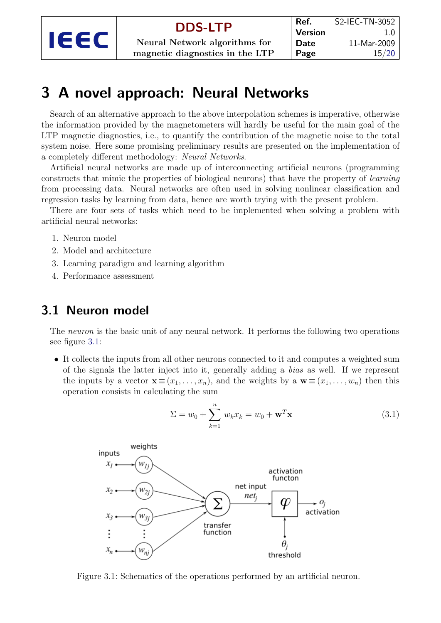# 3 A novel approach: Neural Networks

Search of an alternative approach to the above interpolation schemes is imperative, otherwise the information provided by the magnetometers will hardly be useful for the main goal of the LTP magnetic diagnostics, i.e., to quantify the contribution of the magnetic noise to the total system noise. Here some promising preliminary results are presented on the implementation of a completely different methodology: Neural Networks.

Artificial neural networks are made up of interconnecting artificial neurons (programming constructs that mimic the properties of biological neurons) that have the property of learning from processing data. Neural networks are often used in solving nonlinear classification and regression tasks by learning from data, hence are worth trying with the present problem.

There are four sets of tasks which need to be implemented when solving a problem with artificial neural networks:

- 1. Neuron model
- 2. Model and architecture
- 3. Learning paradigm and learning algorithm
- 4. Performance assessment

#### <span id="page-14-0"></span>3.1 Neuron model

The neuron is the basic unit of any neural network. It performs the following two operations —see figure [3.1:](#page-14-1)

• It collects the inputs from all other neurons connected to it and computes a weighted sum of the signals the latter inject into it, generally adding a bias as well. If we represent the inputs by a vector  $\mathbf{x} \equiv (x_1, \ldots, x_n)$ , and the weights by a  $\mathbf{w} \equiv (x_1, \ldots, w_n)$  then this operation consists in calculating the sum

$$
\Sigma = w_0 + \sum_{k=1}^{n} w_k x_k = w_0 + \mathbf{w}^T \mathbf{x}
$$
 (3.1)



<span id="page-14-1"></span>Figure 3.1: Schematics of the operations performed by an artificial neuron.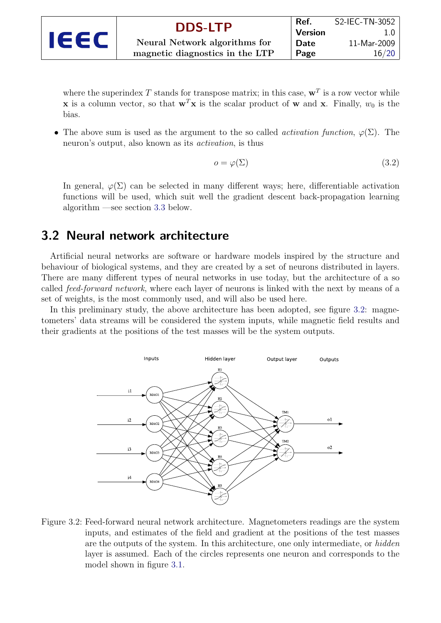

where the superindex T stands for transpose matrix; in this case,  $\mathbf{w}^T$  is a row vector while **x** is a column vector, so that  $\mathbf{w}^T \mathbf{x}$  is the scalar product of **w** and **x**. Finally,  $w_0$  is the bias.

• The above sum is used as the argument to the so called *activation function*,  $\varphi(\Sigma)$ . The neuron's output, also known as its activation, is thus

$$
o = \varphi(\Sigma) \tag{3.2}
$$

In general,  $\varphi(\Sigma)$  can be selected in many different ways; here, differentiable activation functions will be used, which suit well the gradient descent back-propagation learning algorithm —see section [3.3](#page-16-0) below.

#### <span id="page-15-0"></span>3.2 Neural network architecture

Artificial neural networks are software or hardware models inspired by the structure and behaviour of biological systems, and they are created by a set of neurons distributed in layers. There are many different types of neural networks in use today, but the architecture of a so called feed-forward network, where each layer of neurons is linked with the next by means of a set of weights, is the most commonly used, and will also be used here.

In this preliminary study, the above architecture has been adopted, see figure [3.2:](#page-15-1) magnetometers' data streams will be considered the system inputs, while magnetic field results and their gradients at the positions of the test masses will be the system outputs.



<span id="page-15-1"></span>Figure 3.2: Feed-forward neural network architecture. Magnetometers readings are the system inputs, and estimates of the field and gradient at the positions of the test masses are the outputs of the system. In this architecture, one only intermediate, or hidden layer is assumed. Each of the circles represents one neuron and corresponds to the model shown in figure [3.1.](#page-14-1)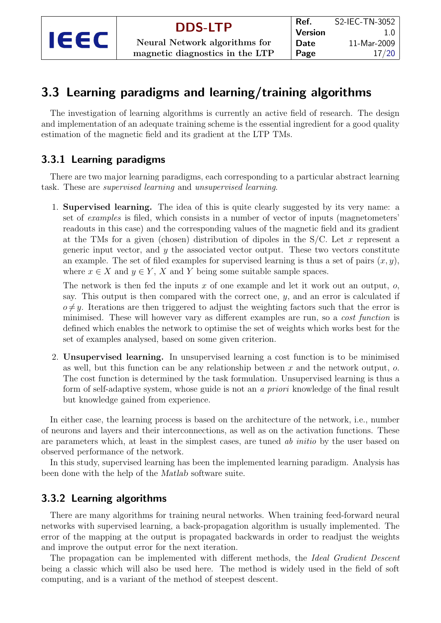### <span id="page-16-0"></span>3.3 Learning paradigms and learning/training algorithms

The investigation of learning algorithms is currently an active field of research. The design and implementation of an adequate training scheme is the essential ingredient for a good quality estimation of the magnetic field and its gradient at the LTP TMs.

#### <span id="page-16-1"></span>3.3.1 Learning paradigms

There are two major learning paradigms, each corresponding to a particular abstract learning task. These are supervised learning and unsupervised learning.

1. Supervised learning. The idea of this is quite clearly suggested by its very name: a set of examples is filed, which consists in a number of vector of inputs (magnetometers' readouts in this case) and the corresponding values of the magnetic field and its gradient at the TMs for a given (chosen) distribution of dipoles in the  $S/C$ . Let x represent a generic input vector, and  $y$  the associated vector output. These two vectors constitute an example. The set of filed examples for supervised learning is thus a set of pairs  $(x, y)$ , where  $x \in X$  and  $y \in Y$ , X and Y being some suitable sample spaces.

The network is then fed the inputs x of one example and let it work out an output,  $o$ , say. This output is then compared with the correct one,  $y$ , and an error is calculated if  $o \neq y$ . Iterations are then triggered to adjust the weighting factors such that the error is minimised. These will however vary as different examples are run, so a *cost function* is defined which enables the network to optimise the set of weights which works best for the set of examples analysed, based on some given criterion.

2. Unsupervised learning. In unsupervised learning a cost function is to be minimised as well, but this function can be any relationship between  $x$  and the network output,  $o$ . The cost function is determined by the task formulation. Unsupervised learning is thus a form of self-adaptive system, whose guide is not an *a priori* knowledge of the final result but knowledge gained from experience.

In either case, the learning process is based on the architecture of the network, i.e., number of neurons and layers and their interconnections, as well as on the activation functions. These are parameters which, at least in the simplest cases, are tuned ab initio by the user based on observed performance of the network.

In this study, supervised learning has been the implemented learning paradigm. Analysis has been done with the help of the Matlab software suite.

#### <span id="page-16-2"></span>3.3.2 Learning algorithms

There are many algorithms for training neural networks. When training feed-forward neural networks with supervised learning, a back-propagation algorithm is usually implemented. The error of the mapping at the output is propagated backwards in order to readjust the weights and improve the output error for the next iteration.

The propagation can be implemented with different methods, the Ideal Gradient Descent being a classic which will also be used here. The method is widely used in the field of soft computing, and is a variant of the method of steepest descent.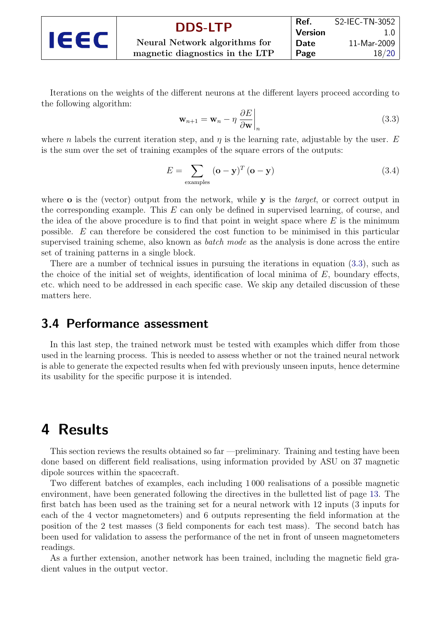

Iterations on the weights of the different neurons at the different layers proceed according to the following algorithm:

<span id="page-17-2"></span>
$$
\mathbf{w}_{n+1} = \mathbf{w}_n - \eta \left. \frac{\partial E}{\partial \mathbf{w}} \right|_n \tag{3.3}
$$

where *n* labels the current iteration step, and  $\eta$  is the learning rate, adjustable by the user. E is the sum over the set of training examples of the square errors of the outputs:

$$
E = \sum_{\text{examples}} (\mathbf{o} - \mathbf{y})^T (\mathbf{o} - \mathbf{y}) \tag{3.4}
$$

where  $\bf{o}$  is the (vector) output from the network, while  $\bf{y}$  is the *target*, or correct output in the corresponding example. This  $E$  can only be defined in supervised learning, of course, and the idea of the above procedure is to find that point in weight space where  $E$  is the minimum possible. E can therefore be considered the cost function to be minimised in this particular supervised training scheme, also known as *batch mode* as the analysis is done across the entire set of training patterns in a single block.

There are a number of technical issues in pursuing the iterations in equation [\(3.3\)](#page-17-2), such as the choice of the initial set of weights, identification of local minima of  $E$ , boundary effects, etc. which need to be addressed in each specific case. We skip any detailed discussion of these matters here.

#### <span id="page-17-0"></span>3.4 Performance assessment

<span id="page-17-1"></span>In this last step, the trained network must be tested with examples which differ from those used in the learning process. This is needed to assess whether or not the trained neural network is able to generate the expected results when fed with previously unseen inputs, hence determine its usability for the specific purpose it is intended.

## 4 Results

This section reviews the results obtained so far —preliminary. Training and testing have been done based on different field realisations, using information provided by ASU on 37 magnetic dipole sources within the spacecraft.

Two different batches of examples, each including 1 000 realisations of a possible magnetic environment, have been generated following the directives in the bulletted list of page [13.](#page-12-0) The first batch has been used as the training set for a neural network with 12 inputs (3 inputs for each of the 4 vector magnetometers) and 6 outputs representing the field information at the position of the 2 test masses (3 field components for each test mass). The second batch has been used for validation to assess the performance of the net in front of unseen magnetometers readings.

As a further extension, another network has been trained, including the magnetic field gradient values in the output vector.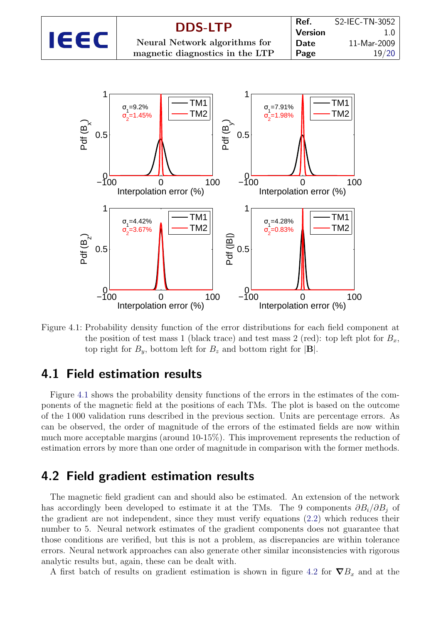



<span id="page-18-2"></span>Figure 4.1: Probability density function of the error distributions for each field component at the position of test mass 1 (black trace) and test mass 2 (red): top left plot for  $B_x$ , top right for  $B_y$ , bottom left for  $B_z$  and bottom right for  $|\mathbf{B}|$ .

#### <span id="page-18-0"></span>4.1 Field estimation results

Figure [4.1](#page-18-2) shows the probability density functions of the errors in the estimates of the components of the magnetic field at the positions of each TMs. The plot is based on the outcome of the 1 000 validation runs described in the previous section. Units are percentage errors. As can be observed, the order of magnitude of the errors of the estimated fields are now within much more acceptable margins (around 10-15%). This improvement represents the reduction of estimation errors by more than one order of magnitude in comparison with the former methods.

#### <span id="page-18-1"></span>4.2 Field gradient estimation results

The magnetic field gradient can and should also be estimated. An extension of the network has accordingly been developed to estimate it at the TMs. The 9 components  $\partial B_i/\partial B_j$  of the gradient are not independent, since they must verify equations [\(2.2\)](#page-9-5) which reduces their number to 5. Neural network estimates of the gradient components does not guarantee that those conditions are verified, but this is not a problem, as discrepancies are within tolerance errors. Neural network approaches can also generate other similar inconsistencies with rigorous analytic results but, again, these can be dealt with.

A first batch of results on gradient estimation is shown in figure [4.2](#page-19-2) for  $\nabla B_x$  and at the